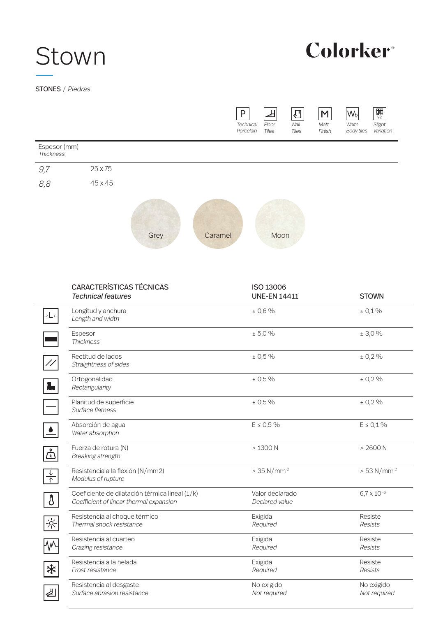# Stown

## Colorker®

STONES / Piedras

 $\overline{\phantom{0}}$ 



|                               | <b>CARACTERÍSTICAS TÉCNICAS</b><br><b>Technical features</b>                              | ISO 13006<br><b>UNE-EN 14411</b>  | <b>STOWN</b>               |
|-------------------------------|-------------------------------------------------------------------------------------------|-----------------------------------|----------------------------|
| ∣→L←                          | Longitud y anchura<br>Length and width                                                    | ± 0,6%                            | ± 0,1%                     |
|                               | Espesor<br><b>Thickness</b>                                                               | ± 5,0%                            | ± 3,0%                     |
| $\frac{1}{2}$                 | Rectitud de lados<br>Straightness of sides                                                | ± 0,5%                            | ± 0,2%                     |
| 1.                            | Ortogonalidad<br>Rectangularity                                                           | ± 0,5%                            | ± 0,2%                     |
|                               | Planitud de superficie<br>Surface flatness                                                | ± 0,5%                            | ± 0,2%                     |
|                               | Absorción de agua<br>Water absorption                                                     | $E \le 0.5\%$                     | $E \le 0.1 \%$             |
| $\mathring{\mathbb{F}}$       | Fuerza de rotura (N)<br><b>Breaking strength</b>                                          | $>1300$ N                         | > 2600 N                   |
| $\frac{\downarrow}{\uparrow}$ | Resistencia a la flexión (N/mm2)<br>Modulus of rupture                                    | $> 35 N/mm^2$                     | $> 53 N/mm^2$              |
| 3                             | Coeficiente de dilatación térmica lineal (1/k)<br>Coefficient of linear thermal expansion | Valor declarado<br>Declared value | $6.7 \times 10^{-6}$       |
| $\frac{1}{2}$                 | Resistencia al choque térmico<br>Thermal shock resistance                                 | Exigida<br>Required               | Resiste<br><b>Resists</b>  |
|                               | Resistencia al cuarteo<br>Crazing resistance                                              | Exigida<br>Required               | Resiste<br><b>Resists</b>  |
| ₩                             | Resistencia a la helada<br>Frost resistance                                               | Exigida<br>Required               | Resiste<br>Resists         |
| ा                             | Resistencia al desgaste<br>Surface abrasion resistance                                    | No exigido<br>Not required        | No exigido<br>Not required |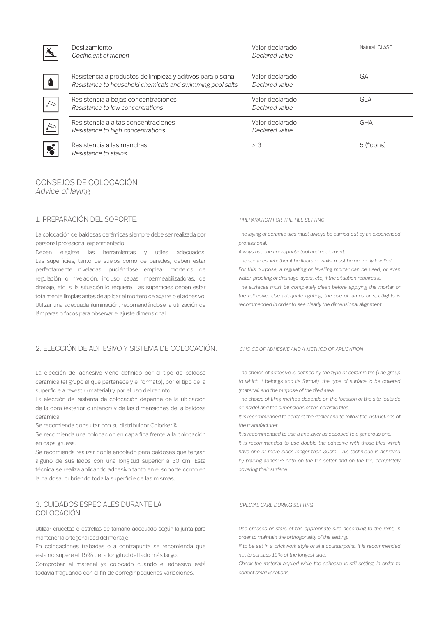| 人         | Deslizamiento<br>Coefficient of friction                                                                                 | Valor declarado<br>Declared value | Natural: CLASE 1 |
|-----------|--------------------------------------------------------------------------------------------------------------------------|-----------------------------------|------------------|
|           | Resistencia a productos de limpieza y aditivos para piscina<br>Resistance to household chemicals and swimming pool salts | Valor declarado<br>Declared value | GА               |
| $\sim$    | Resistencia a bajas concentraciones<br>Resistance to low concentrations                                                  | Valor declarado<br>Declared value | GLA              |
| $\sum$    | Resistencia a altas concentraciones<br>Resistance to high concentrations                                                 | Valor declarado<br>Declared value | <b>GHA</b>       |
| $\bullet$ | Resistencia a las manchas<br>Resistance to stains                                                                        | > 3                               | $5$ (*cons)      |

### CONSEJOS DE COLOCACIÓN Advice of laying

### 1. PREPARACIÓN DEL SOPORTE.

La colocación de baldosas cerámicas siempre debe ser realizada por personal profesional experimentado.

Deben elegirse las herramientas y útiles adecuados. Las superficies, tanto de suelos como de paredes, deben estar perfectamente niveladas, pudiéndose emplear morteros de regulación o nivelación, incluso capas impermeabilizadoras, de drenaje, etc, si la situación lo requiere. Las superficies deben estar totalmente limpias antes de aplicar el mortero de agarre o el adhesivo. Utilizar una adecuada iluminación, recomendándose la utilización de lámparas o focos para observar el ajuste dimensional.

### 2. ELECCIÓN DE ADHESIVO Y SISTEMA DE COLOCACIÓN. CHOICE OF ADHESIVE AND A METHOD OF APLICATION

La elección del adhesivo viene definido por el tipo de baldosa cerámica (el grupo al que pertenece y el formato), por el tipo de la superficie a revestir (material) y por el uso del recinto.

La elección del sistema de colocación depende de la ubicación de la obra (exterior o interior) y de las dimensiones de la baldosa cerámica.

Se recomienda consultar con su distribuidor Colorker®.

Se recomienda una colocación en capa fina frente a la colocación en capa gruesa.

Se recomienda realizar doble encolado para baldosas que tengan alguno de sus lados con una longitud superior a 30 cm. Esta técnica se realiza aplicando adhesivo tanto en el soporte como en la baldosa, cubriendo toda la superficie de las mismas.

### 3. CUIDADOS ESPECIALES DURANTE LA COLOCACIÓN.

Utilizar crucetas o estrellas de tamaño adecuado según la junta para mantener la ortogonalidad del montaje.

En colocaciones trabadas o a contrapunta se recomienda que esta no supere el 15% de la longitud del lado más largo.

Comprobar el material ya colocado cuando el adhesivo está todavía fraguando con el fin de corregir pequeñas variaciones.

The laying of ceramic tiles must always be carried out by an experienced professional.

Always use the appropriate tool and equipment.

The surfaces, whether it be floors or walls, must be perfectly levelled. For this purpose, a regulating or levelling mortar can be used, or even water-proofing or drainage layers, etc, if the situation requires it. The surfaces must be completely clean before applying the mortar or the adhesive. Use adequate lighting, the use of lamps or spotlights is recommended in order to see clearly the dimensional alignment.

The choice of adhesive is defined by the type of ceramic tile (The group to which it belongs and its format), the type of surface lo be covered (material) and the purpose of the tiled area.

The choice of tiling method depends on the location of the site (outside or inside) and the dimensions of the ceramic tiles.

It is recommended to contact the dealer and to follow the instructions of the manufacturer.

It is recommended to use a fine layer as opposed to a generous one.

It is recommended to use double the adhesive with those tiles which have one or more sides longer than 30cm. This technique is achieved by placing adhesive both on the tile setter and on the tile, completely covering their surface.

### SPECIAL CARE DURING SETTING

Use crosses or stars of the appropriate size according to the joint, in order to maintain the orthogonality of the setting.

If to be set in a brickwork style or al a counterpoint, it is recommended not to surpass 15% of the longest side.

Check the material applied while the adhesive is still setting, in order to correct small variations.